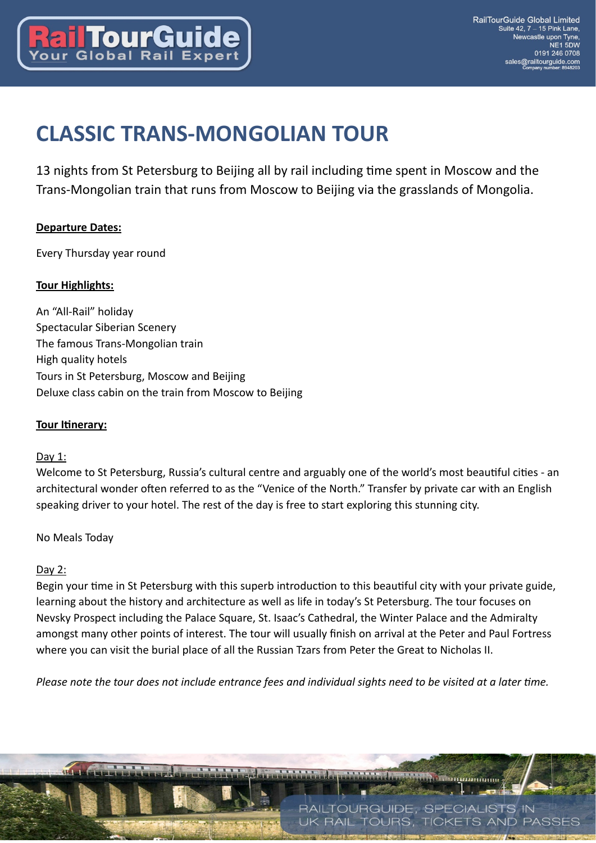

# **CLASSIC TRANS-MONGOLIAN TOUR**

13 nights from St Petersburg to Beijing all by rail including time spent in Moscow and the Trans-Mongolian train that runs from Moscow to Beijing via the grasslands of Mongolia.

#### **Departure Dates:**

Every Thursday year round

#### **Tour Highlights:**

An "All-Rail" holiday Spectacular Siberian Scenery The famous Trans-Mongolian train High quality hotels Tours in St Petersburg, Moscow and Beijing Deluxe class cabin on the train from Moscow to Beijing

#### **Tour Itinerary:**

#### Day 1:

Welcome to St Petersburg, Russia's cultural centre and arguably one of the world's most beautiful cities - an architectural wonder often referred to as the "Venice of the North." Transfer by private car with an English speaking driver to your hotel. The rest of the day is free to start exploring this stunning city.

#### No Meals Today

# Day 2:

Begin your time in St Petersburg with this superb introduction to this beautiful city with your private guide, learning about the history and architecture as well as life in today's St Petersburg. The tour focuses on Nevsky Prospect including the Palace Square, St. Isaac's Cathedral, the Winter Palace and the Admiralty amongst many other points of interest. The tour will usually finish on arrival at the Peter and Paul Fortress where you can visit the burial place of all the Russian Tzars from Peter the Great to Nicholas II.

*Please note the tour does not include entrance fees and individual sights need to be visited at a later time.* 

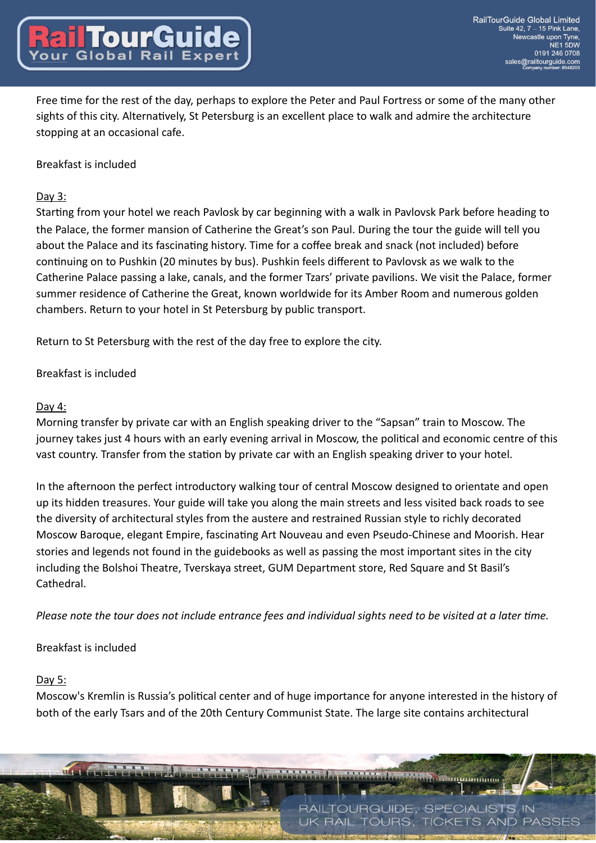Free time for the rest of the day, perhaps to explore the Peter and Paul Fortress or some of the many other sights of this city. Alternatively, St Petersburg is an excellent place to walk and admire the architecture stopping at an occasional cafe.

Breakfast is included

# Day 3:

Starting from your hotel we reach Pavlosk by car beginning with a walk in Pavlovsk Park before heading to the Palace, the former mansion of Catherine the Great's son Paul. During the tour the guide will tell you about the Palace and its fascinating history. Time for a coffee break and snack (not included) before continuing on to Pushkin (20 minutes by bus). Pushkin feels different to Pavlovsk as we walk to the Catherine Palace passing a lake, canals, and the former Tzars' private pavilions. We visit the Palace, former summer residence of Catherine the Great, known worldwide for its Amber Room and numerous golden chambers. Return to your hotel in St Petersburg by public transport.

Return to St Petersburg with the rest of the day free to explore the city.

# Breakfast is included

# Day 4:

Morning transfer by private car with an English speaking driver to the "Sapsan" train to Moscow. The journey takes just 4 hours with an early evening arrival in Moscow, the political and economic centre of this vast country. Transfer from the station by private car with an English speaking driver to your hotel.

In the afternoon the perfect introductory walking tour of central Moscow designed to orientate and open up its hidden treasures. Your guide will take you along the main streets and less visited back roads to see the diversity of architectural styles from the austere and restrained Russian style to richly decorated Moscow Baroque, elegant Empire, fascinating Art Nouveau and even Pseudo-Chinese and Moorish. Hear stories and legends not found in the guidebooks as well as passing the most important sites in the city including the Bolshoi Theatre, Tverskaya street, GUM Department store, Red Square and St Basil's Cathedral.

*Please note the tour does not include entrance fees and individual sights need to be visited at a later time.* 

# Breakfast is included

# Day 5:

Moscow's Kremlin is Russia's political center and of huge importance for anyone interested in the history of both of the early Tsars and of the 20th Century Communist State. The large site contains architectural

> RAILTOURGUIDE, SPECIALISTS IN **RAIL TOURS. TICKETS AND PASSES**

<u>эншиннини</u>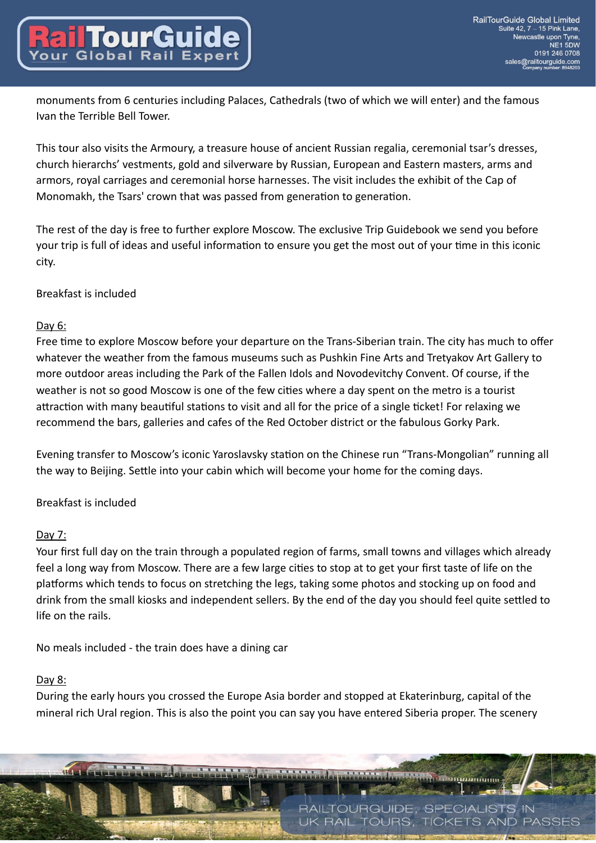monuments from 6 centuries including Palaces, Cathedrals (two of which we will enter) and the famous Ivan the Terrible Bell Tower.

This tour also visits the Armoury, a treasure house of ancient Russian regalia, ceremonial tsar's dresses, church hierarchs' vestments, gold and silverware by Russian, European and Eastern masters, arms and armors, royal carriages and ceremonial horse harnesses. The visit includes the exhibit of the Cap of Monomakh, the Tsars' crown that was passed from generation to generation.

The rest of the day is free to further explore Moscow. The exclusive Trip Guidebook we send you before your trip is full of ideas and useful information to ensure you get the most out of your time in this iconic city.

Breakfast is included

# Day 6:

Free time to explore Moscow before your departure on the Trans-Siberian train. The city has much to offer whatever the weather from the famous museums such as Pushkin Fine Arts and Tretyakov Art Gallery to more outdoor areas including the Park of the Fallen Idols and Novodevitchy Convent. Of course, if the weather is not so good Moscow is one of the few cities where a day spent on the metro is a tourist attraction with many beautiful stations to visit and all for the price of a single ticket! For relaxing we recommend the bars, galleries and cafes of the Red October district or the fabulous Gorky Park.

Evening transfer to Moscow's iconic Yaroslavsky station on the Chinese run "Trans-Mongolian" running all the way to Beijing. Settle into your cabin which will become your home for the coming days.

# Breakfast is included

# Day 7:

Your first full day on the train through a populated region of farms, small towns and villages which already feel a long way from Moscow. There are a few large cities to stop at to get your first taste of life on the platforms which tends to focus on stretching the legs, taking some photos and stocking up on food and drink from the small kiosks and independent sellers. By the end of the day you should feel quite settled to life on the rails.

No meals included - the train does have a dining car

# Day 8:

During the early hours you crossed the Europe Asia border and stopped at Ekaterinburg, capital of the mineral rich Ural region. This is also the point you can say you have entered Siberia proper. The scenery

> RAILTOURGUIDE, SPECIALISTS IN **RAIL TOURS. TICKETS AND** PASSES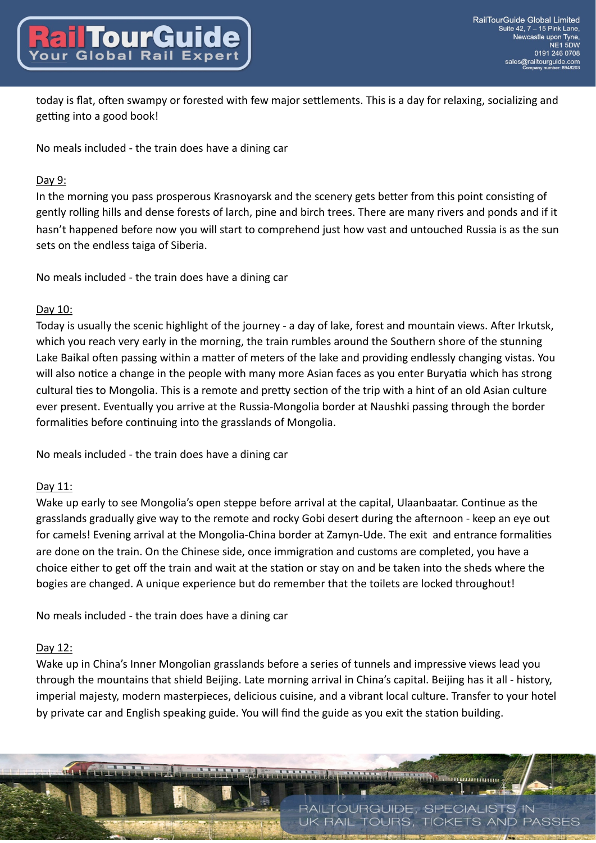today is flat, often swampy or forested with few major settlements. This is a day for relaxing, socializing and getting into a good book!

No meals included - the train does have a dining car

# Day 9:

In the morning you pass prosperous Krasnoyarsk and the scenery gets better from this point consisting of gently rolling hills and dense forests of larch, pine and birch trees. There are many rivers and ponds and if it hasn't happened before now you will start to comprehend just how vast and untouched Russia is as the sun sets on the endless taiga of Siberia.

No meals included - the train does have a dining car

# Day 10:

Today is usually the scenic highlight of the journey - a day of lake, forest and mountain views. After Irkutsk, which you reach very early in the morning, the train rumbles around the Southern shore of the stunning Lake Baikal often passing within a matter of meters of the lake and providing endlessly changing vistas. You will also notice a change in the people with many more Asian faces as you enter Buryatia which has strong cultural ties to Mongolia. This is a remote and pretty section of the trip with a hint of an old Asian culture ever present. Eventually you arrive at the Russia-Mongolia border at Naushki passing through the border formalities before continuing into the grasslands of Mongolia.

No meals included - the train does have a dining car

# Day 11:

Wake up early to see Mongolia's open steppe before arrival at the capital, Ulaanbaatar. Continue as the grasslands gradually give way to the remote and rocky Gobi desert during the afternoon - keep an eye out for camels! Evening arrival at the Mongolia-China border at Zamyn-Ude. The exit and entrance formalities are done on the train. On the Chinese side, once immigration and customs are completed, you have a choice either to get off the train and wait at the station or stay on and be taken into the sheds where the bogies are changed. A unique experience but do remember that the toilets are locked throughout!

No meals included - the train does have a dining car

# Day 12:

Wake up in China's Inner Mongolian grasslands before a series of tunnels and impressive views lead you through the mountains that shield Beijing. Late morning arrival in China's capital. Beijing has it all - history, imperial majesty, modern masterpieces, delicious cuisine, and a vibrant local culture. Transfer to your hotel by private car and English speaking guide. You will find the guide as you exit the station building.

> RAILTOURGUIDE, SPECIALISTS IN **RAIL TOURS. TICKETS AND PASSES**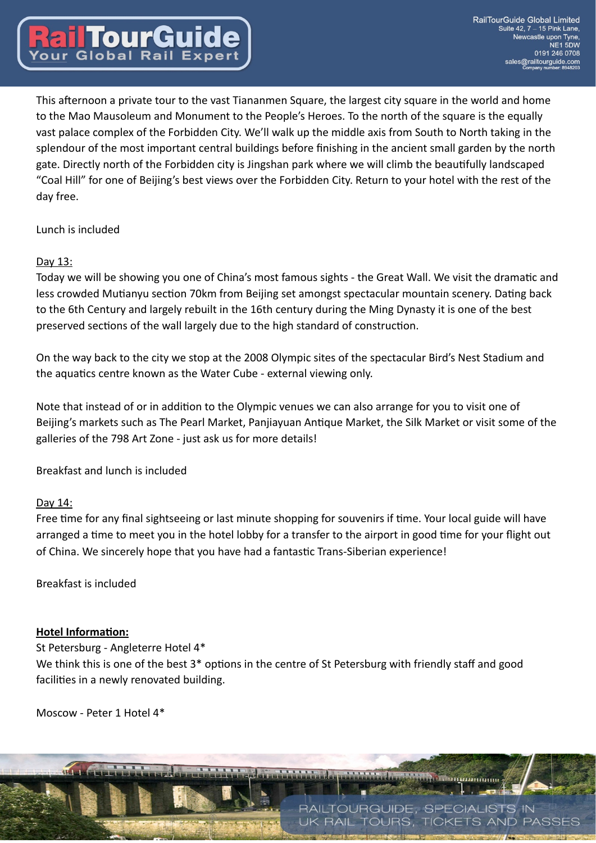This afternoon a private tour to the vast Tiananmen Square, the largest city square in the world and home to the Mao Mausoleum and Monument to the People's Heroes. To the north of the square is the equally vast palace complex of the Forbidden City. We'll walk up the middle axis from South to North taking in the splendour of the most important central buildings before finishing in the ancient small garden by the north gate. Directly north of the Forbidden city is Jingshan park where we will climb the beautifully landscaped "Coal Hill" for one of Beijing's best views over the Forbidden City. Return to your hotel with the rest of the day free.

Lunch is included

# Day 13:

Today we will be showing you one of China's most famous sights - the Great Wall. We visit the dramatic and less crowded Mutianyu section 70km from Beijing set amongst spectacular mountain scenery. Dating back to the 6th Century and largely rebuilt in the 16th century during the Ming Dynasty it is one of the best preserved sections of the wall largely due to the high standard of construction.

On the way back to the city we stop at the 2008 Olympic sites of the spectacular Bird's Nest Stadium and the aquatics centre known as the Water Cube - external viewing only.

Note that instead of or in addition to the Olympic venues we can also arrange for you to visit one of Beijing's markets such as The Pearl Market, Panjiayuan Antique Market, the Silk Market or visit some of the galleries of the 798 Art Zone - just ask us for more details!

Breakfast and lunch is included

# Day 14:

Free time for any final sightseeing or last minute shopping for souvenirs if time. Your local guide will have arranged a time to meet you in the hotel lobby for a transfer to the airport in good time for your flight out of China. We sincerely hope that you have had a fantastic Trans-Siberian experience!

Breakfast is included

#### **Hotel Information:**

St Petersburg - Angleterre Hotel 4\* We think this is one of the best  $3*$  options in the centre of St Petersburg with friendly staff and good facilities in a newly renovated building.

Moscow - Peter 1 Hotel 4\*

RAILTOURGUIDE, SPECIALISTS IN **RAIL TOURS. TICKETS AND** PASSES